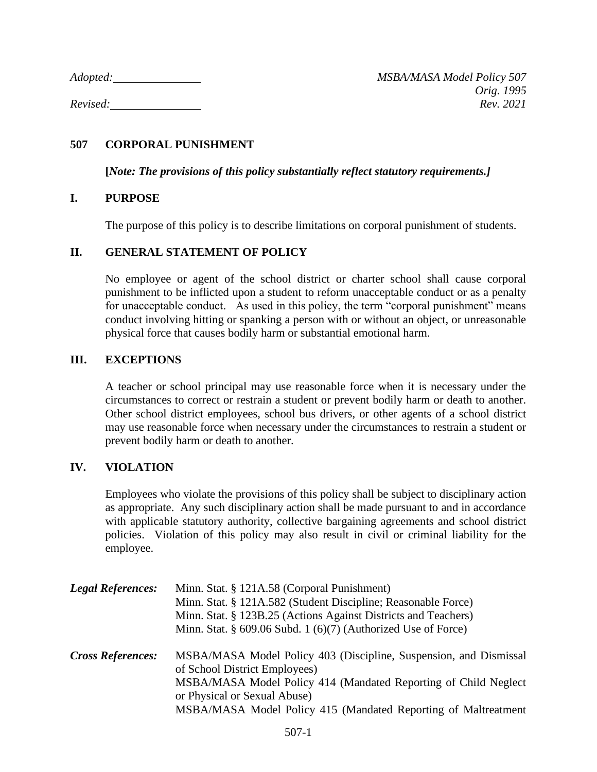# **507 CORPORAL PUNISHMENT**

**[***Note: The provisions of this policy substantially reflect statutory requirements.]*

## **I. PURPOSE**

The purpose of this policy is to describe limitations on corporal punishment of students.

#### **II. GENERAL STATEMENT OF POLICY**

No employee or agent of the school district or charter school shall cause corporal punishment to be inflicted upon a student to reform unacceptable conduct or as a penalty for unacceptable conduct. As used in this policy, the term "corporal punishment" means conduct involving hitting or spanking a person with or without an object, or unreasonable physical force that causes bodily harm or substantial emotional harm.

## **III. EXCEPTIONS**

A teacher or school principal may use reasonable force when it is necessary under the circumstances to correct or restrain a student or prevent bodily harm or death to another. Other school district employees, school bus drivers, or other agents of a school district may use reasonable force when necessary under the circumstances to restrain a student or prevent bodily harm or death to another.

## **IV. VIOLATION**

Employees who violate the provisions of this policy shall be subject to disciplinary action as appropriate. Any such disciplinary action shall be made pursuant to and in accordance with applicable statutory authority, collective bargaining agreements and school district policies. Violation of this policy may also result in civil or criminal liability for the employee.

| <b>Legal References:</b> | Minn. Stat. § 121A.58 (Corporal Punishment)<br>Minn. Stat. § 121A.582 (Student Discipline; Reasonable Force)<br>Minn. Stat. § 123B.25 (Actions Against Districts and Teachers)<br>Minn. Stat. § 609.06 Subd. 1 $(6)(7)$ (Authorized Use of Force)                       |
|--------------------------|-------------------------------------------------------------------------------------------------------------------------------------------------------------------------------------------------------------------------------------------------------------------------|
| <b>Cross References:</b> | MSBA/MASA Model Policy 403 (Discipline, Suspension, and Dismissal<br>of School District Employees)<br>MSBA/MASA Model Policy 414 (Mandated Reporting of Child Neglect<br>or Physical or Sexual Abuse)<br>MSBA/MASA Model Policy 415 (Mandated Reporting of Maltreatment |